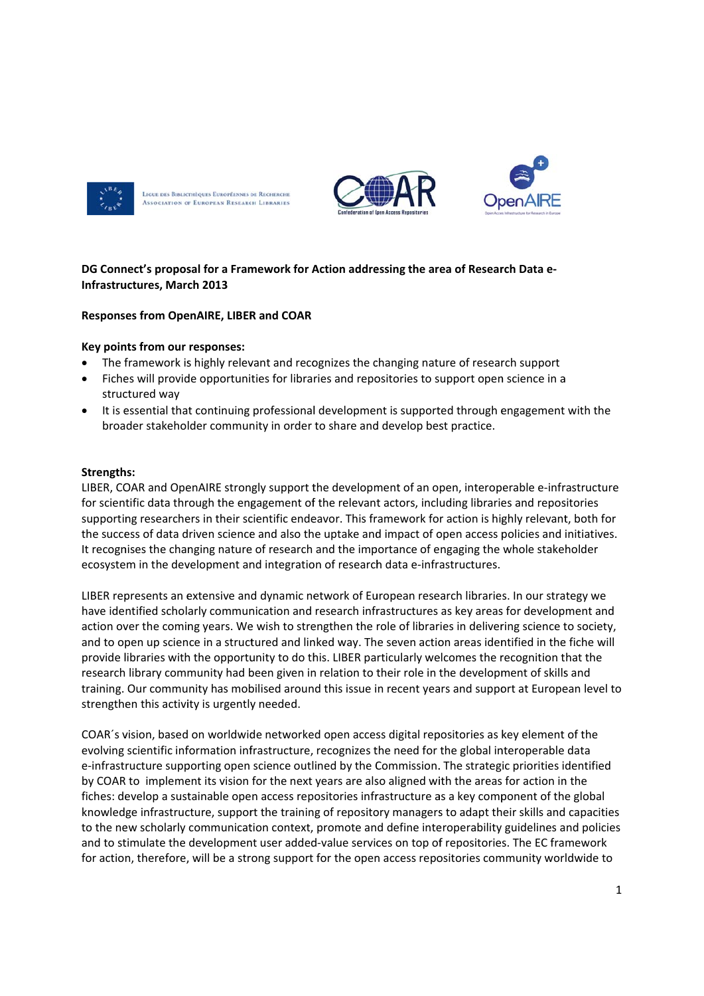

LIGUE DES BIBLIOTHÈQUES EUROPÉENNES DE RECHERCHE **ASSOCIATION OF EUROPEAN RESEARCH LIBRARIES** 



# DG Connect's proposal for a Framework for Action addressing the area of Research Data e-**Infrastructures, March 2013**

# **Responses from OpenAIRE, LIBER and COAR**

### Key points from our responses:

- The framework is highly relevant and recognizes the changing nature of research support
- Fiches will provide opportunities for libraries and repositories to support open science in a structured way
- It is essential that continuing professional development is supported through engagement with the broader stakeholder community in order to share and develop best practice.

### **Strengths:**

LIBER, COAR and OpenAIRE strongly support the development of an open, interoperable e-infrastructure for scientific data through the engagement of the relevant actors, including libraries and repositories supporting researchers in their scientific endeavor. This framework for action is highly relevant, both for the success of data driven science and also the uptake and impact of open access policies and initiatives. It recognises the changing nature of research and the importance of engaging the whole stakeholder ecosystem in the development and integration of research data e-infrastructures.

LIBER represents an extensive and dynamic network of European research libraries. In our strategy we have identified scholarly communication and research infrastructures as key areas for development and action over the coming years. We wish to strengthen the role of libraries in delivering science to society, and to open up science in a structured and linked way. The seven action areas identified in the fiche will provide libraries with the opportunity to do this. LIBER particularly welcomes the recognition that the research library community had been given in relation to their role in the development of skills and training. Our community has mobilised around this issue in recent years and support at European level to strengthen this activity is urgently needed.

COAR's vision, based on worldwide networked open access digital repositories as key element of the evolving scientific information infrastructure, recognizes the need for the global interoperable data e-infrastructure supporting open science outlined by the Commission. The strategic priorities identified by COAR to implement its vision for the next years are also aligned with the areas for action in the fiches: develop a sustainable open access repositories infrastructure as a key component of the global knowledge infrastructure, support the training of repository managers to adapt their skills and capacities to the new scholarly communication context, promote and define interoperability guidelines and policies and to stimulate the development user added-value services on top of repositories. The EC framework for action, therefore, will be a strong support for the open access repositories community worldwide to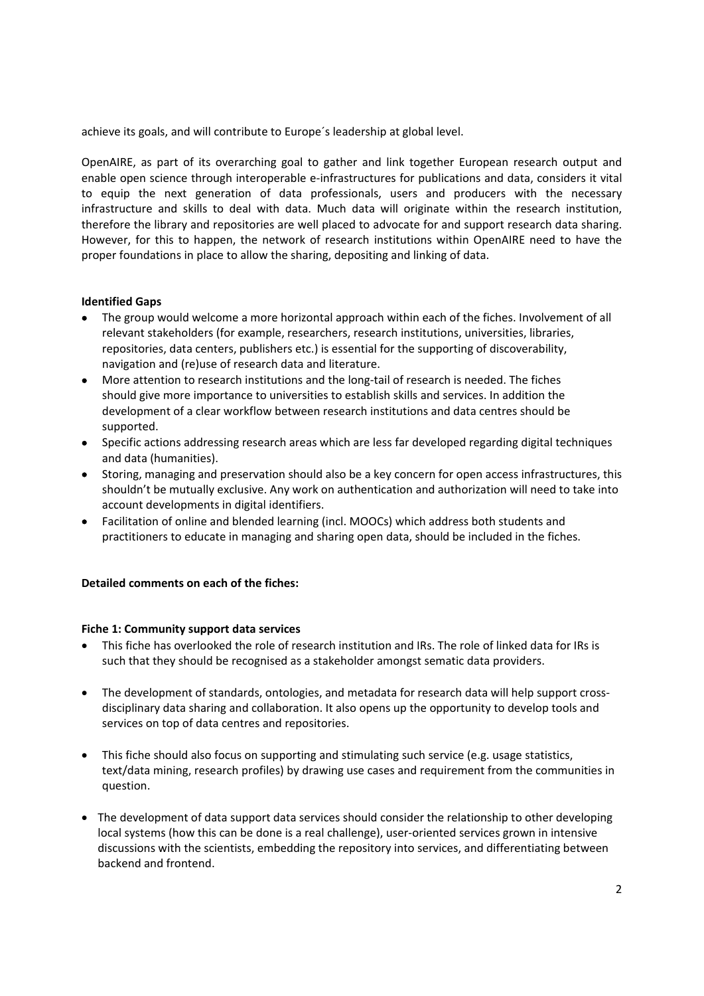achieve its goals, and will contribute to Europe´s leadership at global level.

OpenAIRE, as part of its overarching goal to gather and link together European research output and enable open science through interoperable e-infrastructures for publications and data, considers it vital to equip the next generation of data professionals, users and producers with the necessary infrastructure and skills to deal with data. Much data will originate within the research institution, therefore the library and repositories are well placed to advocate for and support research data sharing. However, for this to happen, the network of research institutions within OpenAIRE need to have the proper foundations in place to allow the sharing, depositing and linking of data.

# **Identified Gaps**

- The group would welcome a more horizontal approach within each of the fiches. Involvement of all relevant stakeholders (for example, researchers, research institutions, universities, libraries, repositories, data centers, publishers etc.) is essential for the supporting of discoverability, navigation and (re)use of research data and literature.
- More attention to research institutions and the long‐tail of research is needed. The fiches should give more importance to universities to establish skills and services. In addition the development of a clear workflow between research institutions and data centres should be supported.
- Specific actions addressing research areas which are less far developed regarding digital techniques and data (humanities).
- Storing, managing and preservation should also be a key concern for open access infrastructures, this shouldn't be mutually exclusive. Any work on authentication and authorization will need to take into account developments in digital identifiers.
- Facilitation of online and blended learning (incl. MOOCs) which address both students and practitioners to educate in managing and sharing open data, should be included in the fiches.

### **Detailed comments on each of the fiches:**

### **Fiche 1: Community support data services**

- This fiche has overlooked the role of research institution and IRs. The role of linked data for IRs is such that they should be recognised as a stakeholder amongst sematic data providers.
- The development of standards, ontologies, and metadata for research data will help support cross‐ disciplinary data sharing and collaboration. It also opens up the opportunity to develop tools and services on top of data centres and repositories.
- This fiche should also focus on supporting and stimulating such service (e.g. usage statistics, text/data mining, research profiles) by drawing use cases and requirement from the communities in question.
- The development of data support data services should consider the relationship to other developing local systems (how this can be done is a real challenge), user‐oriented services grown in intensive discussions with the scientists, embedding the repository into services, and differentiating between backend and frontend.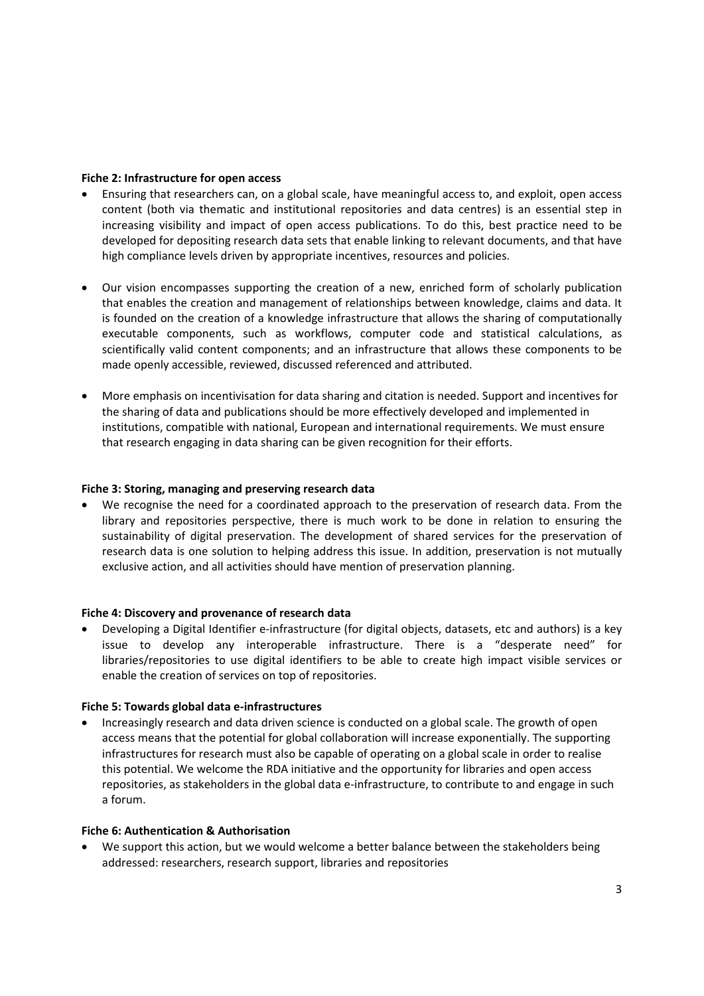#### **Fiche 2: Infrastructure for open access**

- Ensuring that researchers can, on a global scale, have meaningful access to, and exploit, open access content (both via thematic and institutional repositories and data centres) is an essential step in increasing visibility and impact of open access publications. To do this, best practice need to be developed for depositing research data sets that enable linking to relevant documents, and that have high compliance levels driven by appropriate incentives, resources and policies.
- Our vision encompasses supporting the creation of a new, enriched form of scholarly publication that enables the creation and management of relationships between knowledge, claims and data. It is founded on the creation of a knowledge infrastructure that allows the sharing of computationally executable components, such as workflows, computer code and statistical calculations, as scientifically valid content components; and an infrastructure that allows these components to be made openly accessible, reviewed, discussed referenced and attributed.
- More emphasis on incentivisation for data sharing and citation is needed. Support and incentives for the sharing of data and publications should be more effectively developed and implemented in institutions, compatible with national, European and international requirements. We must ensure that research engaging in data sharing can be given recognition for their efforts.

#### **Fiche 3: Storing, managing and preserving research data**

 We recognise the need for a coordinated approach to the preservation of research data. From the library and repositories perspective, there is much work to be done in relation to ensuring the sustainability of digital preservation. The development of shared services for the preservation of research data is one solution to helping address this issue. In addition, preservation is not mutually exclusive action, and all activities should have mention of preservation planning.

### **Fiche 4: Discovery and provenance of research data**

 Developing a Digital Identifier e‐infrastructure (for digital objects, datasets, etc and authors) is a key issue to develop any interoperable infrastructure. There is a "desperate need" for libraries/repositories to use digital identifiers to be able to create high impact visible services or enable the creation of services on top of repositories.

### **Fiche 5: Towards global data e‐infrastructures**

 Increasingly research and data driven science is conducted on a global scale. The growth of open access means that the potential for global collaboration will increase exponentially. The supporting infrastructures for research must also be capable of operating on a global scale in order to realise this potential. We welcome the RDA initiative and the opportunity for libraries and open access repositories, as stakeholders in the global data e‐infrastructure, to contribute to and engage in such a forum.

### **Fiche 6: Authentication & Authorisation**

 We support this action, but we would welcome a better balance between the stakeholders being addressed: researchers, research support, libraries and repositories